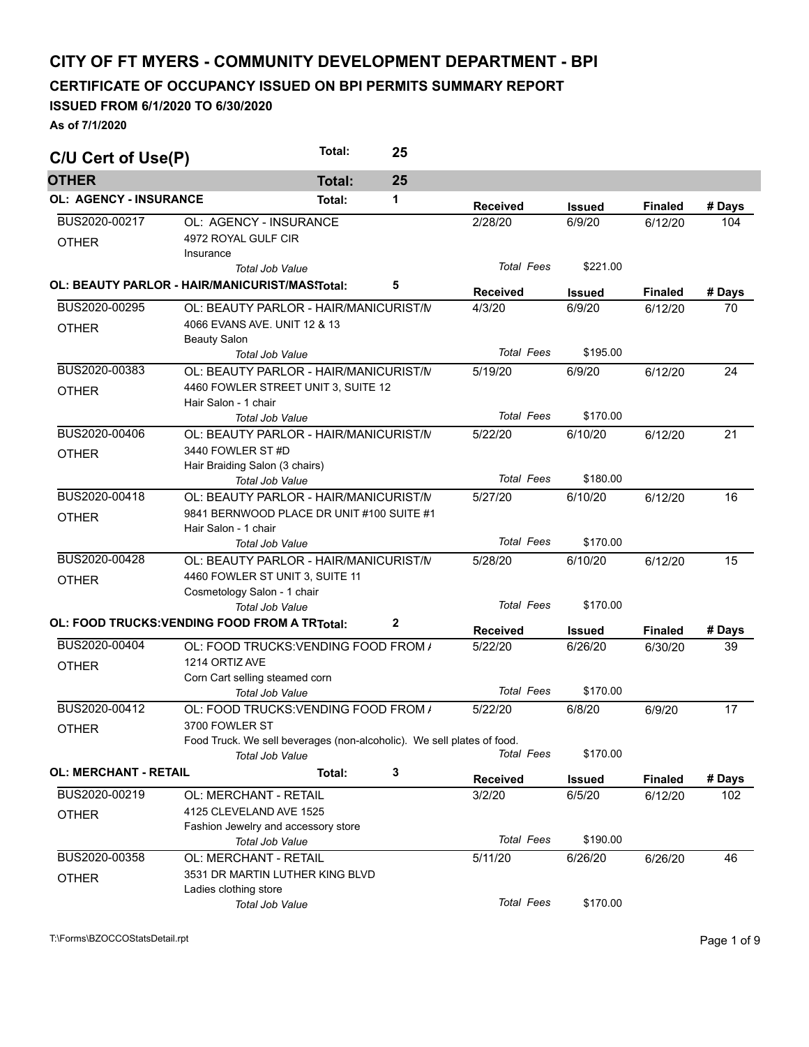## **CITY OF FT MYERS - COMMUNITY DEVELOPMENT DEPARTMENT - BPI**

**CERTIFICATE OF OCCUPANCY ISSUED ON BPI PERMITS SUMMARY REPORT** 

## **ISSUED FROM 6/1/2020 TO 6/30/2020**

**As of 7/1/2020** 

| C/U Cert of Use(P)            |                                                                                | Total:        | 25           |                   |               |                |        |
|-------------------------------|--------------------------------------------------------------------------------|---------------|--------------|-------------------|---------------|----------------|--------|
| <b>OTHER</b>                  |                                                                                | <b>Total:</b> | 25           |                   |               |                |        |
| <b>OL: AGENCY - INSURANCE</b> |                                                                                | Total:        | 1            | <b>Received</b>   | <b>Issued</b> | <b>Finaled</b> | # Days |
| BUS2020-00217                 | OL: AGENCY - INSURANCE                                                         |               |              | 2/28/20           | 6/9/20        | 6/12/20        | 104    |
| <b>OTHER</b>                  | 4972 ROYAL GULF CIR<br>Insurance                                               |               |              |                   |               |                |        |
|                               | Total Job Value                                                                |               |              | <b>Total Fees</b> | \$221.00      |                |        |
|                               | OL: BEAUTY PARLOR - HAIR/MANICURIST/MAS\Total:                                 |               | 5            | <b>Received</b>   | <b>Issued</b> | <b>Finaled</b> | # Days |
| BUS2020-00295                 | OL: BEAUTY PARLOR - HAIR/MANICURIST/N                                          |               |              | 4/3/20            | 6/9/20        | 6/12/20        | 70     |
| <b>OTHER</b>                  | 4066 EVANS AVE, UNIT 12 & 13<br><b>Beauty Salon</b>                            |               |              |                   |               |                |        |
|                               | <b>Total Job Value</b>                                                         |               |              | <b>Total Fees</b> | \$195.00      |                |        |
| BUS2020-00383<br><b>OTHER</b> | OL: BEAUTY PARLOR - HAIR/MANICURIST/N<br>4460 FOWLER STREET UNIT 3, SUITE 12   |               |              | 5/19/20           | 6/9/20        | 6/12/20        | 24     |
|                               | Hair Salon - 1 chair                                                           |               |              | <b>Total Fees</b> | \$170.00      |                |        |
| BUS2020-00406                 | <b>Total Job Value</b><br>OL: BEAUTY PARLOR - HAIR/MANICURIST/N                |               |              | 5/22/20           | 6/10/20       | 6/12/20        | 21     |
| <b>OTHER</b>                  | 3440 FOWLER ST #D<br>Hair Braiding Salon (3 chairs)                            |               |              |                   |               |                |        |
|                               | <b>Total Job Value</b>                                                         |               |              | <b>Total Fees</b> | \$180.00      |                |        |
| BUS2020-00418                 | OL: BEAUTY PARLOR - HAIR/MANICURIST/N                                          |               |              | 5/27/20           | 6/10/20       | 6/12/20        | 16     |
| <b>OTHER</b>                  | 9841 BERNWOOD PLACE DR UNIT #100 SUITE #1                                      |               |              |                   |               |                |        |
|                               | Hair Salon - 1 chair                                                           |               |              |                   |               |                |        |
|                               | <b>Total Job Value</b>                                                         |               |              | <b>Total Fees</b> | \$170.00      |                |        |
| BUS2020-00428                 | OL: BEAUTY PARLOR - HAIR/MANICURIST/N                                          |               |              | 5/28/20           | 6/10/20       | 6/12/20        | 15     |
| <b>OTHER</b>                  | 4460 FOWLER ST UNIT 3, SUITE 11                                                |               |              |                   |               |                |        |
|                               | Cosmetology Salon - 1 chair                                                    |               |              | <b>Total Fees</b> | \$170.00      |                |        |
|                               | <b>Total Job Value</b><br><b>OL: FOOD TRUCKS: VENDING FOOD FROM A TRTotal:</b> |               | $\mathbf{2}$ |                   |               |                |        |
|                               |                                                                                |               |              | <b>Received</b>   | Issued        | <b>Finaled</b> | # Days |
| BUS2020-00404                 | OL: FOOD TRUCKS: VENDING FOOD FROM /                                           |               |              | 5/22/20           | 6/26/20       | 6/30/20        | 39     |
| <b>OTHER</b>                  | 1214 ORTIZ AVE                                                                 |               |              |                   |               |                |        |
|                               | Corn Cart selling steamed corn<br>Total Job Value                              |               |              | <b>Total Fees</b> | \$170.00      |                |        |
| BUS2020-00412                 | OL: FOOD TRUCKS: VENDING FOOD FROM /                                           |               |              | 5/22/20           | 6/8/20        | 6/9/20         | 17     |
| <b>OTHER</b>                  | 3700 FOWLER ST                                                                 |               |              |                   |               |                |        |
|                               | Food Truck. We sell beverages (non-alcoholic). We sell plates of food.         |               |              |                   |               |                |        |
|                               | Total Job Value                                                                |               |              | <b>Total Fees</b> | \$170.00      |                |        |
| <b>OL: MERCHANT - RETAIL</b>  |                                                                                | Total:        | 3            | <b>Received</b>   | <b>Issued</b> | <b>Finaled</b> | # Days |
| BUS2020-00219                 | OL: MERCHANT - RETAIL                                                          |               |              | 3/2/20            | 6/5/20        | 6/12/20        | 102    |
| <b>OTHER</b>                  | 4125 CLEVELAND AVE 1525                                                        |               |              |                   |               |                |        |
|                               | Fashion Jewelry and accessory store                                            |               |              |                   |               |                |        |
|                               | Total Job Value                                                                |               |              | <b>Total Fees</b> | \$190.00      |                |        |
| BUS2020-00358                 | OL: MERCHANT - RETAIL                                                          |               |              | 5/11/20           | 6/26/20       | 6/26/20        | 46     |
| <b>OTHER</b>                  | 3531 DR MARTIN LUTHER KING BLVD<br>Ladies clothing store                       |               |              |                   |               |                |        |
|                               | Total Job Value                                                                |               |              | <b>Total Fees</b> | \$170.00      |                |        |
|                               |                                                                                |               |              |                   |               |                |        |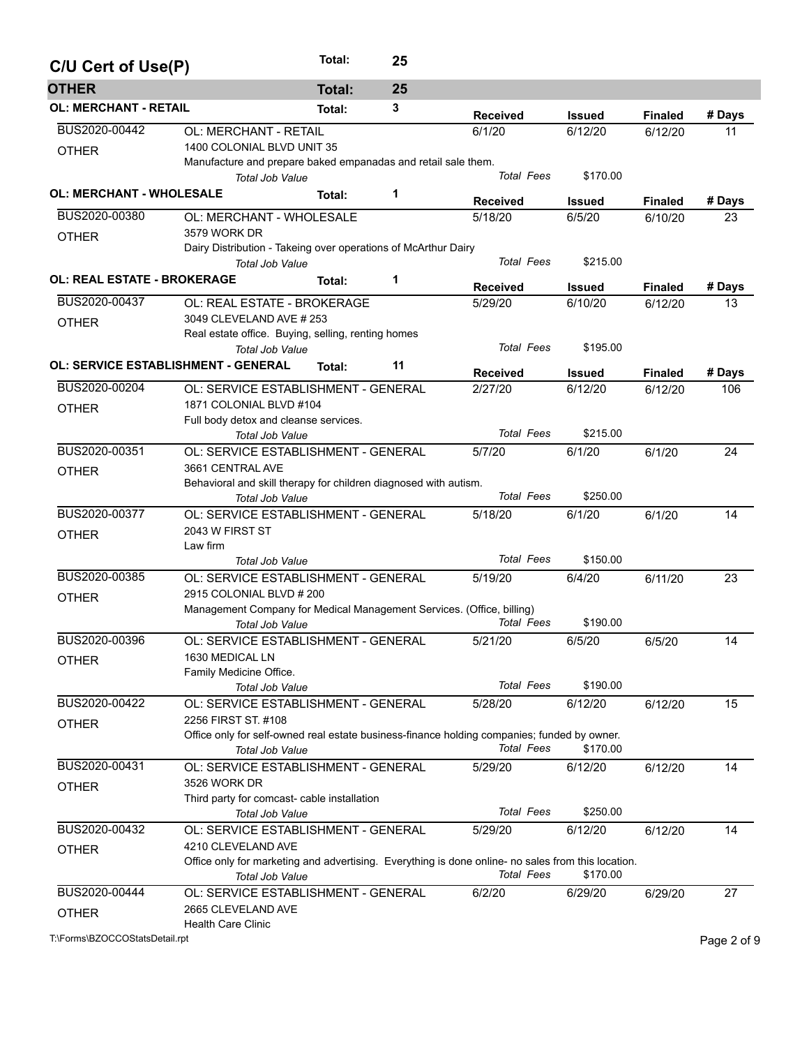| C/U Cert of Use(P)              |                                                                                                                    | Total:        | 25 |                   |               |                |             |
|---------------------------------|--------------------------------------------------------------------------------------------------------------------|---------------|----|-------------------|---------------|----------------|-------------|
| <b>OTHER</b>                    |                                                                                                                    | <b>Total:</b> | 25 |                   |               |                |             |
| <b>OL: MERCHANT - RETAIL</b>    |                                                                                                                    | Total:        | 3  | <b>Received</b>   | Issued        | <b>Finaled</b> | # Days      |
| BUS2020-00442                   | OL: MERCHANT - RETAIL                                                                                              |               |    | 6/1/20            | 6/12/20       | 6/12/20        | 11          |
| <b>OTHER</b>                    | 1400 COLONIAL BLVD UNIT 35                                                                                         |               |    |                   |               |                |             |
|                                 | Manufacture and prepare baked empanadas and retail sale them.<br>Total Job Value                                   |               |    | <b>Total Fees</b> | \$170.00      |                |             |
| <b>OL: MERCHANT - WHOLESALE</b> |                                                                                                                    | Total:        | 1  | <b>Received</b>   | <b>Issued</b> | <b>Finaled</b> | # Days      |
| BUS2020-00380                   | OL: MERCHANT - WHOLESALE                                                                                           |               |    | 5/18/20           | 6/5/20        | 6/10/20        | 23          |
| <b>OTHER</b>                    | 3579 WORK DR                                                                                                       |               |    |                   |               |                |             |
|                                 | Dairy Distribution - Takeing over operations of McArthur Dairy                                                     |               |    |                   |               |                |             |
|                                 | <b>Total Job Value</b>                                                                                             |               |    | <b>Total Fees</b> | \$215.00      |                |             |
| OL: REAL ESTATE - BROKERAGE     |                                                                                                                    | Total:        | 1  | <b>Received</b>   | Issued        | <b>Finaled</b> | # Days      |
| BUS2020-00437                   | OL: REAL ESTATE - BROKERAGE                                                                                        |               |    | 5/29/20           | 6/10/20       | 6/12/20        | 13          |
| <b>OTHER</b>                    | 3049 CLEVELAND AVE # 253                                                                                           |               |    |                   |               |                |             |
|                                 | Real estate office. Buying, selling, renting homes                                                                 |               |    |                   |               |                |             |
|                                 | Total Job Value                                                                                                    |               |    | <b>Total Fees</b> | \$195.00      |                |             |
|                                 | <b>OL: SERVICE ESTABLISHMENT - GENERAL</b>                                                                         | Total:        | 11 | <b>Received</b>   | Issued        | <b>Finaled</b> | # Days      |
| BUS2020-00204                   | OL: SERVICE ESTABLISHMENT - GENERAL                                                                                |               |    | 2/27/20           | 6/12/20       | 6/12/20        | 106         |
| <b>OTHER</b>                    | 1871 COLONIAL BLVD #104                                                                                            |               |    |                   |               |                |             |
|                                 | Full body detox and cleanse services.                                                                              |               |    |                   |               |                |             |
|                                 | <b>Total Job Value</b>                                                                                             |               |    | <b>Total Fees</b> | \$215.00      |                |             |
| BUS2020-00351                   | OL: SERVICE ESTABLISHMENT - GENERAL                                                                                |               |    | 5/7/20            | 6/1/20        | 6/1/20         | 24          |
| <b>OTHER</b>                    | 3661 CENTRAL AVE                                                                                                   |               |    |                   |               |                |             |
|                                 | Behavioral and skill therapy for children diagnosed with autism.                                                   |               |    |                   |               |                |             |
|                                 | <b>Total Job Value</b>                                                                                             |               |    | <b>Total Fees</b> | \$250.00      |                |             |
| BUS2020-00377                   | OL: SERVICE ESTABLISHMENT - GENERAL                                                                                |               |    | 5/18/20           | 6/1/20        | 6/1/20         | 14          |
| <b>OTHER</b>                    | 2043 W FIRST ST                                                                                                    |               |    |                   |               |                |             |
|                                 | Law firm                                                                                                           |               |    |                   |               |                |             |
|                                 | <b>Total Job Value</b>                                                                                             |               |    | <b>Total Fees</b> | \$150.00      |                |             |
| BUS2020-00385                   | OL: SERVICE ESTABLISHMENT - GENERAL                                                                                |               |    | 5/19/20           | 6/4/20        | 6/11/20        | 23          |
| <b>OTHER</b>                    | 2915 COLONIAL BLVD # 200                                                                                           |               |    |                   |               |                |             |
|                                 | Management Company for Medical Management Services. (Office, billing)                                              |               |    |                   |               |                |             |
|                                 | <b>Total Job Value</b>                                                                                             |               |    | <b>Total Fees</b> | \$190.00      |                |             |
| BUS2020-00396                   | OL: SERVICE ESTABLISHMENT - GENERAL                                                                                |               |    | 5/21/20           | 6/5/20        | 6/5/20         | 14          |
| <b>OTHER</b>                    | 1630 MEDICAL LN                                                                                                    |               |    |                   |               |                |             |
|                                 | Family Medicine Office.                                                                                            |               |    | <b>Total Fees</b> | \$190.00      |                |             |
| BUS2020-00422                   | <b>Total Job Value</b>                                                                                             |               |    |                   |               |                |             |
|                                 | OL: SERVICE ESTABLISHMENT - GENERAL                                                                                |               |    | 5/28/20           | 6/12/20       | 6/12/20        | 15          |
| <b>OTHER</b>                    | 2256 FIRST ST. #108<br>Office only for self-owned real estate business-finance holding companies; funded by owner. |               |    |                   |               |                |             |
|                                 | Total Job Value                                                                                                    |               |    | <b>Total Fees</b> | \$170.00      |                |             |
| BUS2020-00431                   | OL: SERVICE ESTABLISHMENT - GENERAL                                                                                |               |    | 5/29/20           | 6/12/20       | 6/12/20        | 14          |
|                                 | 3526 WORK DR                                                                                                       |               |    |                   |               |                |             |
| <b>OTHER</b>                    | Third party for comcast- cable installation                                                                        |               |    |                   |               |                |             |
|                                 | Total Job Value                                                                                                    |               |    | <b>Total Fees</b> | \$250.00      |                |             |
| BUS2020-00432                   | OL: SERVICE ESTABLISHMENT - GENERAL                                                                                |               |    | 5/29/20           | 6/12/20       | 6/12/20        | 14          |
| <b>OTHER</b>                    | 4210 CLEVELAND AVE                                                                                                 |               |    |                   |               |                |             |
|                                 | Office only for marketing and advertising. Everything is done online- no sales from this location.                 |               |    |                   |               |                |             |
|                                 | Total Job Value                                                                                                    |               |    | <b>Total Fees</b> | \$170.00      |                |             |
| BUS2020-00444                   | OL: SERVICE ESTABLISHMENT - GENERAL                                                                                |               |    | 6/2/20            | 6/29/20       | 6/29/20        | 27          |
| <b>OTHER</b>                    | 2665 CLEVELAND AVE                                                                                                 |               |    |                   |               |                |             |
|                                 | <b>Health Care Clinic</b>                                                                                          |               |    |                   |               |                |             |
| T:\Forms\BZOCCOStatsDetail.rpt  |                                                                                                                    |               |    |                   |               |                | Page 2 of 9 |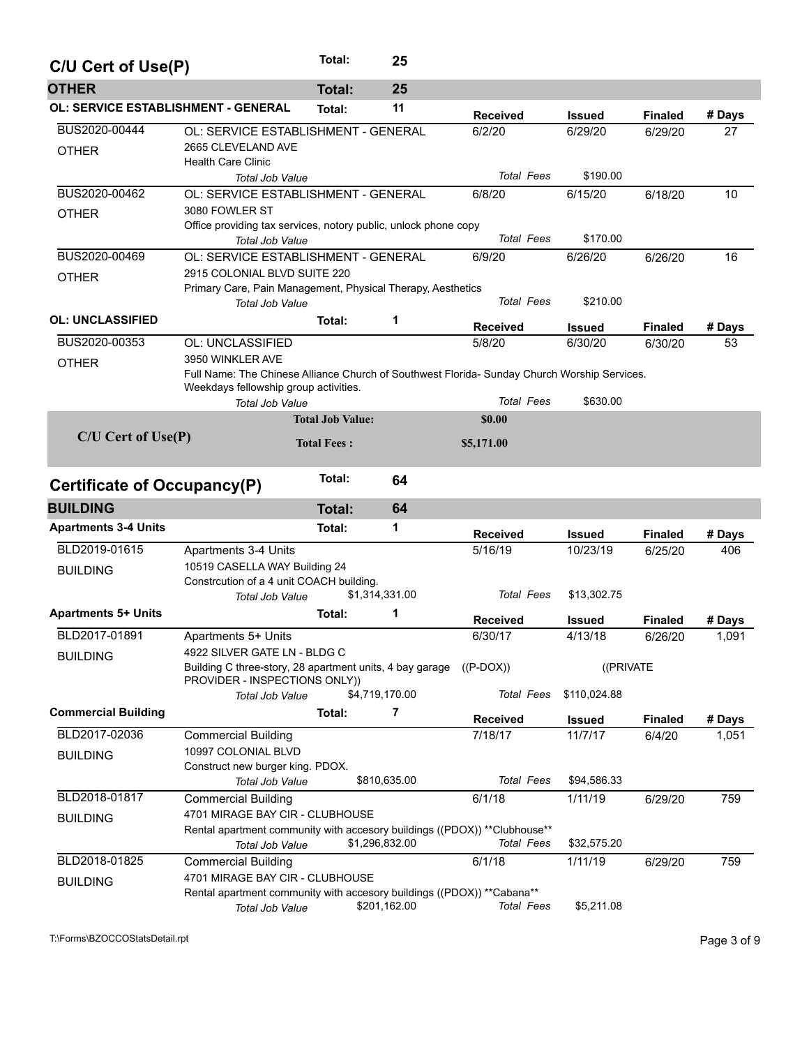| C/U Cert of Use(P)                         |                                                                                                                                                                                     | Total:                  | 25             |                              |                            |                |                 |
|--------------------------------------------|-------------------------------------------------------------------------------------------------------------------------------------------------------------------------------------|-------------------------|----------------|------------------------------|----------------------------|----------------|-----------------|
| <b>OTHER</b>                               |                                                                                                                                                                                     | <b>Total:</b>           | 25             |                              |                            |                |                 |
| <b>OL: SERVICE ESTABLISHMENT - GENERAL</b> |                                                                                                                                                                                     | Total:                  | 11             | <b>Received</b>              | <b>Issued</b>              | <b>Finaled</b> | # Days          |
| BUS2020-00444<br><b>OTHER</b>              | OL: SERVICE ESTABLISHMENT - GENERAL<br>2665 CLEVELAND AVE<br><b>Health Care Clinic</b>                                                                                              |                         |                | 6/2/20                       | 6/29/20                    | 6/29/20        | 27              |
| BUS2020-00462                              | <b>Total Job Value</b>                                                                                                                                                              |                         |                | <b>Total Fees</b>            | \$190.00                   |                |                 |
| <b>OTHER</b>                               | OL: SERVICE ESTABLISHMENT - GENERAL<br>3080 FOWLER ST<br>Office providing tax services, notory public, unlock phone copy<br>Total Job Value                                         |                         |                | 6/8/20<br><b>Total Fees</b>  | 6/15/20<br>\$170.00        | 6/18/20        | 10              |
| BUS2020-00469                              | OL: SERVICE ESTABLISHMENT - GENERAL                                                                                                                                                 |                         |                | 6/9/20                       | 6/26/20                    | 6/26/20        | 16              |
| <b>OTHER</b>                               | 2915 COLONIAL BLVD SUITE 220<br>Primary Care, Pain Management, Physical Therapy, Aesthetics<br><b>Total Job Value</b>                                                               |                         |                | <b>Total Fees</b>            | \$210.00                   |                |                 |
| <b>OL: UNCLASSIFIED</b>                    |                                                                                                                                                                                     | Total:                  | 1              | <b>Received</b>              | <b>Issued</b>              | <b>Finaled</b> | # Days          |
| BUS2020-00353                              | OL: UNCLASSIFIED                                                                                                                                                                    |                         |                | 5/8/20                       | 6/30/20                    | 6/30/20        | 53              |
| <b>OTHER</b>                               | 3950 WINKLER AVE<br>Full Name: The Chinese Alliance Church of Southwest Florida- Sunday Church Worship Services.<br>Weekdays fellowship group activities.<br><b>Total Job Value</b> |                         |                | <b>Total Fees</b>            | \$630.00                   |                |                 |
|                                            |                                                                                                                                                                                     | <b>Total Job Value:</b> |                | \$0.00                       |                            |                |                 |
| $C/U$ Cert of Use $(P)$                    |                                                                                                                                                                                     | <b>Total Fees:</b>      |                | \$5,171.00                   |                            |                |                 |
| Certificate of Occupancy(P)                |                                                                                                                                                                                     | Total:                  | 64             |                              |                            |                |                 |
| <b>BUILDING</b>                            |                                                                                                                                                                                     | <b>Total:</b>           | 64             |                              |                            |                |                 |
| <b>Apartments 3-4 Units</b>                |                                                                                                                                                                                     | Total:                  | 1              | <b>Received</b>              | <b>Issued</b>              | <b>Finaled</b> | # Days          |
| BLD2019-01615<br><b>BUILDING</b>           | Apartments 3-4 Units<br>10519 CASELLA WAY Building 24<br>Constrcution of a 4 unit COACH building.<br>Total Job Value                                                                |                         | \$1,314,331.00 | 5/16/19<br><b>Total Fees</b> | 10/23/19<br>\$13,302.75    | 6/25/20        | 406             |
| <b>Apartments 5+ Units</b>                 |                                                                                                                                                                                     | Total:                  | 1              | <b>Received</b>              |                            | <b>Finaled</b> |                 |
| BLD2017-01891                              | Apartments 5+ Units                                                                                                                                                                 |                         |                | 6/30/17                      | <b>Issued</b><br>4/13/18   | 6/26/20        | # Days<br>1,091 |
| <b>BUILDING</b>                            | 4922 SILVER GATE LN - BLDG C<br>Building C three-story, 28 apartment units, 4 bay garage<br>PROVIDER - INSPECTIONS ONLY))<br>Total Job Value                                        |                         | \$4,719,170.00 | $((P-DOX))$<br>Total Fees    | ((PRIVATE)<br>\$110,024.88 |                |                 |
| <b>Commercial Building</b>                 |                                                                                                                                                                                     | Total:                  | 7              | <b>Received</b>              | <b>Issued</b>              | <b>Finaled</b> | # Days          |
| BLD2017-02036                              | <b>Commercial Building</b>                                                                                                                                                          |                         |                | 7/18/17                      | 11/7/17                    | 6/4/20         | 1,051           |
| <b>BUILDING</b>                            | 10997 COLONIAL BLVD<br>Construct new burger king. PDOX.<br>Total Job Value                                                                                                          |                         | \$810,635.00   | <b>Total Fees</b>            | \$94,586.33                |                |                 |
| BLD2018-01817                              | <b>Commercial Building</b>                                                                                                                                                          |                         |                | 6/1/18                       | 1/11/19                    | 6/29/20        | 759             |
| <b>BUILDING</b>                            | 4701 MIRAGE BAY CIR - CLUBHOUSE<br>Rental apartment community with accesory buildings ((PDOX)) ** Clubhouse**<br>Total Job Value                                                    |                         | \$1,296,832.00 | <b>Total Fees</b>            | \$32,575.20                |                |                 |
| BLD2018-01825<br><b>BUILDING</b>           | <b>Commercial Building</b><br>4701 MIRAGE BAY CIR - CLUBHOUSE<br>Rental apartment community with accesory buildings ((PDOX)) ** Cabana**<br>Total Job Value                         |                         | \$201,162.00   | 6/1/18<br>Total Fees         | 1/11/19<br>\$5,211.08      | 6/29/20        | 759             |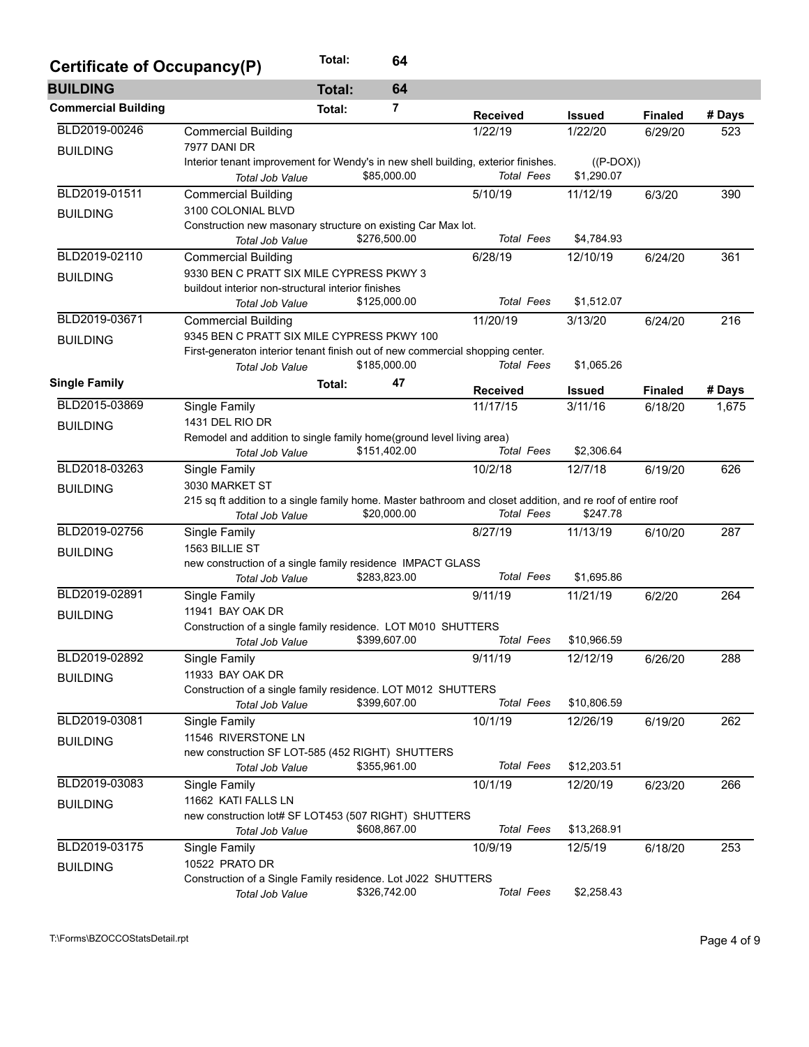| Certificate of Occupancy(P) |                                                                                                             | Total:        | 64             |                   |               |                |        |
|-----------------------------|-------------------------------------------------------------------------------------------------------------|---------------|----------------|-------------------|---------------|----------------|--------|
| <b>BUILDING</b>             |                                                                                                             | <b>Total:</b> | 64             |                   |               |                |        |
| <b>Commercial Building</b>  |                                                                                                             | Total:        | $\overline{7}$ | <b>Received</b>   | <b>Issued</b> | <b>Finaled</b> | # Days |
| BLD2019-00246               | <b>Commercial Building</b>                                                                                  |               |                | 1/22/19           | 1/22/20       | 6/29/20        | 523    |
| <b>BUILDING</b>             | <b>7977 DANI DR</b>                                                                                         |               |                |                   |               |                |        |
|                             | Interior tenant improvement for Wendy's in new shell building, exterior finishes.                           |               |                |                   | $((P-DOX))$   |                |        |
|                             | Total Job Value                                                                                             |               | \$85,000.00    | <b>Total Fees</b> | \$1,290.07    |                |        |
| BLD2019-01511               | <b>Commercial Building</b>                                                                                  |               |                | 5/10/19           | 11/12/19      | 6/3/20         | 390    |
| <b>BUILDING</b>             | 3100 COLONIAL BLVD                                                                                          |               |                |                   |               |                |        |
|                             | Construction new masonary structure on existing Car Max lot.                                                |               |                |                   |               |                |        |
|                             | Total Job Value                                                                                             |               | \$276,500.00   | <b>Total Fees</b> | \$4,784.93    |                |        |
| BLD2019-02110               | Commercial Building                                                                                         |               |                | 6/28/19           | 12/10/19      | 6/24/20        | 361    |
| <b>BUILDING</b>             | 9330 BEN C PRATT SIX MILE CYPRESS PKWY 3                                                                    |               |                |                   |               |                |        |
|                             | buildout interior non-structural interior finishes                                                          |               |                | <b>Total Fees</b> |               |                |        |
|                             | <b>Total Job Value</b>                                                                                      |               | \$125,000.00   |                   | \$1,512.07    |                |        |
| BLD2019-03671               | <b>Commercial Building</b>                                                                                  |               |                | 11/20/19          | 3/13/20       | 6/24/20        | 216    |
| <b>BUILDING</b>             | 9345 BEN C PRATT SIX MILE CYPRESS PKWY 100                                                                  |               |                |                   |               |                |        |
|                             | First-generaton interior tenant finish out of new commercial shopping center.                               |               | \$185,000.00   | <b>Total Fees</b> | \$1,065.26    |                |        |
|                             | Total Job Value                                                                                             |               |                |                   |               |                |        |
| <b>Single Family</b>        |                                                                                                             | Total:        | 47             | <b>Received</b>   | <b>Issued</b> | <b>Finaled</b> | # Days |
| BLD2015-03869               | Single Family                                                                                               |               |                | 11/17/15          | 3/11/16       | 6/18/20        | 1,675  |
| <b>BUILDING</b>             | 1431 DEL RIO DR                                                                                             |               |                |                   |               |                |        |
|                             | Remodel and addition to single family home(ground level living area)                                        |               |                |                   |               |                |        |
|                             | <b>Total Job Value</b>                                                                                      |               | \$151,402.00   | Total Fees        | \$2,306.64    |                |        |
| BLD2018-03263               | Single Family                                                                                               |               |                | 10/2/18           | 12/7/18       | 6/19/20        | 626    |
| <b>BUILDING</b>             | 3030 MARKET ST                                                                                              |               |                |                   |               |                |        |
|                             | 215 sq ft addition to a single family home. Master bathroom and closet addition, and re roof of entire roof |               | \$20,000.00    | <b>Total Fees</b> | \$247.78      |                |        |
|                             | Total Job Value                                                                                             |               |                |                   |               |                |        |
| BLD2019-02756               | Single Family                                                                                               |               |                | 8/27/19           | 11/13/19      | 6/10/20        | 287    |
| <b>BUILDING</b>             | 1563 BILLIE ST                                                                                              |               |                |                   |               |                |        |
|                             | new construction of a single family residence IMPACT GLASS<br><b>Total Job Value</b>                        |               | \$283,823.00   | <b>Total Fees</b> | \$1,695.86    |                |        |
| BLD2019-02891               |                                                                                                             |               |                | 9/11/19           |               |                |        |
|                             | Single Family<br>11941 BAY OAK DR                                                                           |               |                |                   | 11/21/19      | 6/2/20         | 264    |
| <b>BUILDING</b>             | Construction of a single family residence. LOT M010 SHUTTERS                                                |               |                |                   |               |                |        |
|                             | <b>Total Job Value</b>                                                                                      |               | \$399,607.00   | <b>Total Fees</b> | \$10,966.59   |                |        |
| BLD2019-02892               | Single Family                                                                                               |               |                | 9/11/19           | 12/12/19      | 6/26/20        | 288    |
|                             | 11933 BAY OAK DR                                                                                            |               |                |                   |               |                |        |
| <b>BUILDING</b>             | Construction of a single family residence. LOT M012 SHUTTERS                                                |               |                |                   |               |                |        |
|                             | Total Job Value                                                                                             |               | \$399,607.00   | <b>Total Fees</b> | \$10,806.59   |                |        |
| BLD2019-03081               | Single Family                                                                                               |               |                | 10/1/19           | 12/26/19      | 6/19/20        | 262    |
|                             | 11546 RIVERSTONE LN                                                                                         |               |                |                   |               |                |        |
| <b>BUILDING</b>             | new construction SF LOT-585 (452 RIGHT) SHUTTERS                                                            |               |                |                   |               |                |        |
|                             | Total Job Value                                                                                             |               | \$355,961.00   | <b>Total Fees</b> | \$12,203.51   |                |        |
| BLD2019-03083               | Single Family                                                                                               |               |                | 10/1/19           | 12/20/19      | 6/23/20        | 266    |
|                             | 11662 KATI FALLS LN                                                                                         |               |                |                   |               |                |        |
| <b>BUILDING</b>             | new construction lot# SF LOT453 (507 RIGHT) SHUTTERS                                                        |               |                |                   |               |                |        |
|                             | Total Job Value                                                                                             |               | \$608,867.00   | <b>Total Fees</b> | \$13,268.91   |                |        |
| BLD2019-03175               | Single Family                                                                                               |               |                | 10/9/19           | 12/5/19       | 6/18/20        | 253    |
| <b>BUILDING</b>             | 10522 PRATO DR                                                                                              |               |                |                   |               |                |        |
|                             | Construction of a Single Family residence. Lot J022 SHUTTERS                                                |               |                |                   |               |                |        |
|                             | Total Job Value                                                                                             |               | \$326,742.00   | <b>Total Fees</b> | \$2,258.43    |                |        |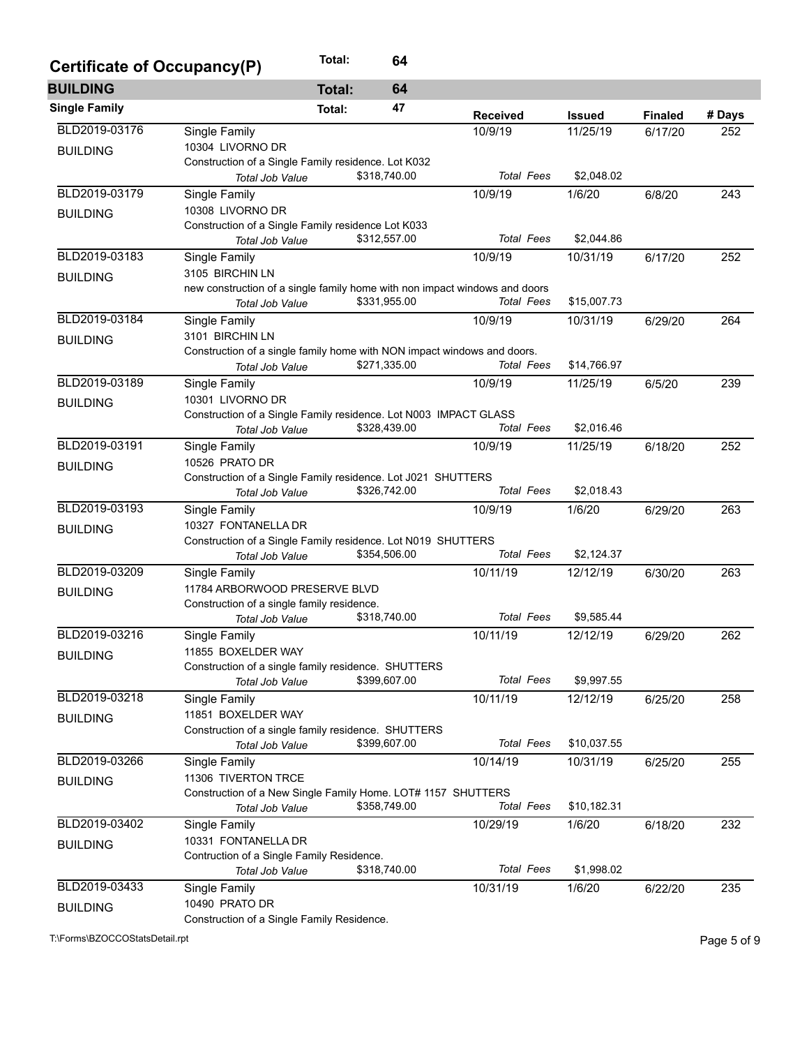| Certificate of Occupancy(P) |                                                                                     | Total:        | 64           |                   |               |                |        |
|-----------------------------|-------------------------------------------------------------------------------------|---------------|--------------|-------------------|---------------|----------------|--------|
| <b>BUILDING</b>             |                                                                                     | <b>Total:</b> | 64           |                   |               |                |        |
| <b>Single Family</b>        |                                                                                     | Total:        | 47           | <b>Received</b>   | <b>Issued</b> | <b>Finaled</b> | # Days |
| BLD2019-03176               | Single Family                                                                       |               |              | 10/9/19           | 11/25/19      | 6/17/20        | 252    |
| <b>BUILDING</b>             | 10304 LIVORNO DR                                                                    |               |              |                   |               |                |        |
|                             | Construction of a Single Family residence. Lot K032                                 |               |              |                   |               |                |        |
|                             | Total Job Value                                                                     |               | \$318,740.00 | <b>Total Fees</b> | \$2,048.02    |                |        |
| BLD2019-03179               | Single Family                                                                       |               |              | 10/9/19           | 1/6/20        | 6/8/20         | 243    |
| <b>BUILDING</b>             | 10308 LIVORNO DR                                                                    |               |              |                   |               |                |        |
|                             | Construction of a Single Family residence Lot K033<br>Total Job Value               |               | \$312,557.00 | <b>Total Fees</b> | \$2,044.86    |                |        |
| BLD2019-03183               | Single Family                                                                       |               |              | 10/9/19           | 10/31/19      | 6/17/20        | 252    |
|                             | 3105 BIRCHIN LN                                                                     |               |              |                   |               |                |        |
| <b>BUILDING</b>             | new construction of a single family home with non impact windows and doors          |               |              |                   |               |                |        |
|                             | Total Job Value                                                                     |               | \$331,955.00 | <b>Total Fees</b> | \$15,007.73   |                |        |
| BLD2019-03184               | Single Family                                                                       |               |              | 10/9/19           | 10/31/19      | 6/29/20        | 264    |
| <b>BUILDING</b>             | 3101 BIRCHIN LN                                                                     |               |              |                   |               |                |        |
|                             | Construction of a single family home with NON impact windows and doors.             |               |              |                   |               |                |        |
|                             | Total Job Value                                                                     |               | \$271,335.00 | <b>Total Fees</b> | \$14,766.97   |                |        |
| BLD2019-03189               | Single Family                                                                       |               |              | 10/9/19           | 11/25/19      | 6/5/20         | 239    |
| <b>BUILDING</b>             | 10301 LIVORNO DR                                                                    |               |              |                   |               |                |        |
|                             | Construction of a Single Family residence. Lot N003 IMPACT GLASS                    |               |              |                   |               |                |        |
|                             | Total Job Value                                                                     |               | \$328,439.00 | <b>Total Fees</b> | \$2.016.46    |                |        |
| BLD2019-03191               | Single Family                                                                       |               |              | 10/9/19           | 11/25/19      | 6/18/20        | 252    |
| <b>BUILDING</b>             | 10526 PRATO DR                                                                      |               |              |                   |               |                |        |
|                             | Construction of a Single Family residence. Lot J021 SHUTTERS                        |               |              |                   |               |                |        |
|                             | Total Job Value                                                                     |               | \$326,742.00 | <b>Total Fees</b> | \$2,018.43    |                |        |
| BLD2019-03193               | Single Family                                                                       |               |              | 10/9/19           | 1/6/20        | 6/29/20        | 263    |
| <b>BUILDING</b>             | 10327 FONTANELLA DR<br>Construction of a Single Family residence. Lot N019 SHUTTERS |               |              |                   |               |                |        |
|                             | Total Job Value                                                                     |               | \$354,506.00 | <b>Total Fees</b> | \$2,124.37    |                |        |
| BLD2019-03209               | Single Family                                                                       |               |              | 10/11/19          | 12/12/19      | 6/30/20        | 263    |
|                             | 11784 ARBORWOOD PRESERVE BLVD                                                       |               |              |                   |               |                |        |
| <b>BUILDING</b>             | Construction of a single family residence.                                          |               |              |                   |               |                |        |
|                             | Total Job Value                                                                     |               | \$318,740.00 | <b>Total Fees</b> | \$9,585.44    |                |        |
| BLD2019-03216               | Single Family                                                                       |               |              | 10/11/19          | 12/12/19      | 6/29/20        | 262    |
| <b>BUILDING</b>             | 11855 BOXELDER WAY                                                                  |               |              |                   |               |                |        |
|                             | Construction of a single family residence. SHUTTERS                                 |               |              |                   |               |                |        |
|                             | Total Job Value                                                                     |               | \$399,607.00 | <b>Total Fees</b> | \$9,997.55    |                |        |
| BLD2019-03218               | Single Family                                                                       |               |              | 10/11/19          | 12/12/19      | 6/25/20        | 258    |
| <b>BUILDING</b>             | 11851 BOXELDER WAY                                                                  |               |              |                   |               |                |        |
|                             | Construction of a single family residence. SHUTTERS                                 |               |              |                   |               |                |        |
|                             | Total Job Value                                                                     |               | \$399,607.00 | <b>Total Fees</b> | \$10,037.55   |                |        |
| BLD2019-03266               | Single Family                                                                       |               |              | 10/14/19          | 10/31/19      | 6/25/20        | 255    |
| <b>BUILDING</b>             | 11306 TIVERTON TRCE                                                                 |               |              |                   |               |                |        |
|                             | Construction of a New Single Family Home. LOT# 1157 SHUTTERS<br>Total Job Value     |               | \$358,749.00 | <b>Total Fees</b> | \$10,182.31   |                |        |
| BLD2019-03402               | Single Family                                                                       |               |              | 10/29/19          | 1/6/20        | 6/18/20        | 232    |
|                             | 10331 FONTANELLA DR                                                                 |               |              |                   |               |                |        |
| <b>BUILDING</b>             | Contruction of a Single Family Residence.                                           |               |              |                   |               |                |        |
|                             | Total Job Value                                                                     |               | \$318,740.00 | <b>Total Fees</b> | \$1,998.02    |                |        |
| BLD2019-03433               | Single Family                                                                       |               |              | 10/31/19          | 1/6/20        | 6/22/20        | 235    |
| <b>BUILDING</b>             | 10490 PRATO DR                                                                      |               |              |                   |               |                |        |
|                             | Construction of a Single Family Residence.                                          |               |              |                   |               |                |        |
|                             |                                                                                     |               |              |                   |               |                |        |

T:\Forms\BZOCCOStatsDetail.rpt Page 5 of 9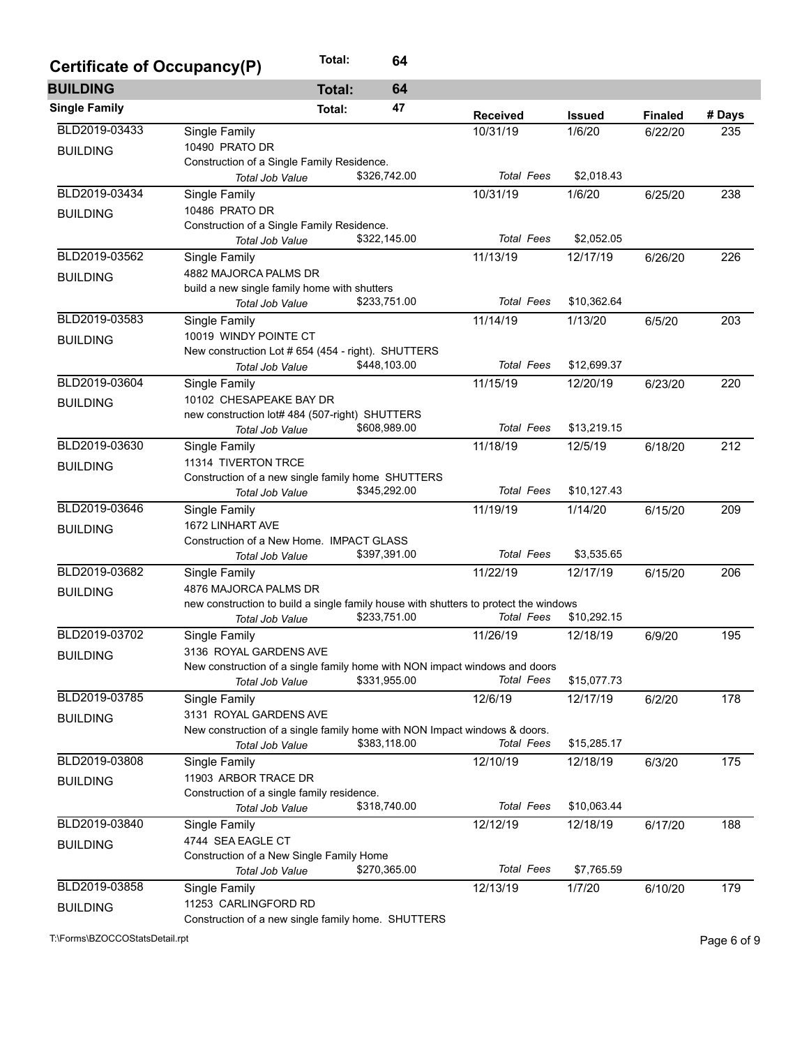| Certificate of Occupancy(P) |                                                                                      | Total:        | 64           |                   |               |                |        |
|-----------------------------|--------------------------------------------------------------------------------------|---------------|--------------|-------------------|---------------|----------------|--------|
| <b>BUILDING</b>             |                                                                                      | <b>Total:</b> | 64           |                   |               |                |        |
| <b>Single Family</b>        |                                                                                      | Total:        | 47           | <b>Received</b>   | <b>Issued</b> | <b>Finaled</b> | # Days |
| BLD2019-03433               | Single Family                                                                        |               |              | 10/31/19          | 1/6/20        | 6/22/20        | 235    |
| <b>BUILDING</b>             | 10490 PRATO DR                                                                       |               |              |                   |               |                |        |
|                             | Construction of a Single Family Residence.                                           |               |              |                   |               |                |        |
|                             | <b>Total Job Value</b>                                                               |               | \$326,742.00 | <b>Total Fees</b> | \$2,018.43    |                |        |
| BLD2019-03434               | Single Family                                                                        |               |              | 10/31/19          | 1/6/20        | 6/25/20        | 238    |
| <b>BUILDING</b>             | 10486 PRATO DR                                                                       |               |              |                   |               |                |        |
|                             | Construction of a Single Family Residence.                                           |               |              |                   |               |                |        |
|                             | Total Job Value                                                                      |               | \$322,145.00 | <b>Total Fees</b> | \$2,052.05    |                |        |
| BLD2019-03562               | Single Family                                                                        |               |              | 11/13/19          | 12/17/19      | 6/26/20        | 226    |
| <b>BUILDING</b>             | 4882 MAJORCA PALMS DR                                                                |               |              |                   |               |                |        |
|                             | build a new single family home with shutters                                         |               |              |                   |               |                |        |
|                             | Total Job Value                                                                      |               | \$233,751.00 | <b>Total Fees</b> | \$10,362.64   |                |        |
| BLD2019-03583               | Single Family                                                                        |               |              | 11/14/19          | 1/13/20       | 6/5/20         | 203    |
| <b>BUILDING</b>             | 10019 WINDY POINTE CT                                                                |               |              |                   |               |                |        |
|                             | New construction Lot # 654 (454 - right). SHUTTERS                                   |               |              |                   |               |                |        |
|                             | Total Job Value                                                                      |               | \$448,103.00 | <b>Total Fees</b> | \$12,699.37   |                |        |
| BLD2019-03604               | Single Family                                                                        |               |              | 11/15/19          | 12/20/19      | 6/23/20        | 220    |
| <b>BUILDING</b>             | 10102 CHESAPEAKE BAY DR                                                              |               |              |                   |               |                |        |
|                             | new construction lot# 484 (507-right) SHUTTERS                                       |               |              | <b>Total Fees</b> | \$13,219.15   |                |        |
|                             | Total Job Value                                                                      |               | \$608,989.00 |                   |               |                |        |
| BLD2019-03630               | Single Family                                                                        |               |              | 11/18/19          | 12/5/19       | 6/18/20        | 212    |
| <b>BUILDING</b>             | 11314 TIVERTON TRCE                                                                  |               |              |                   |               |                |        |
|                             | Construction of a new single family home SHUTTERS<br><b>Total Job Value</b>          |               | \$345,292.00 | <b>Total Fees</b> | \$10,127.43   |                |        |
| BLD2019-03646               |                                                                                      |               |              |                   | 1/14/20       |                | 209    |
|                             | Single Family<br>1672 LINHART AVE                                                    |               |              | 11/19/19          |               | 6/15/20        |        |
| <b>BUILDING</b>             | Construction of a New Home. IMPACT GLASS                                             |               |              |                   |               |                |        |
|                             | <b>Total Job Value</b>                                                               |               | \$397,391.00 | <b>Total Fees</b> | \$3,535.65    |                |        |
| BLD2019-03682               | Single Family                                                                        |               |              | 11/22/19          | 12/17/19      | 6/15/20        | 206    |
|                             | 4876 MAJORCA PALMS DR                                                                |               |              |                   |               |                |        |
| <b>BUILDING</b>             | new construction to build a single family house with shutters to protect the windows |               |              |                   |               |                |        |
|                             | <b>Total Job Value</b>                                                               |               | \$233,751.00 | <b>Total Fees</b> | \$10,292.15   |                |        |
| BLD2019-03702               | Single Family                                                                        |               |              | 11/26/19          | 12/18/19      | 6/9/20         | 195    |
|                             | 3136 ROYAL GARDENS AVE                                                               |               |              |                   |               |                |        |
| <b>BUILDING</b>             | New construction of a single family home with NON impact windows and doors           |               |              |                   |               |                |        |
|                             | Total Job Value                                                                      |               | \$331,955.00 | <b>Total Fees</b> | \$15,077.73   |                |        |
| BLD2019-03785               | Single Family                                                                        |               |              | 12/6/19           | 12/17/19      | 6/2/20         | 178    |
| <b>BUILDING</b>             | 3131 ROYAL GARDENS AVE                                                               |               |              |                   |               |                |        |
|                             | New construction of a single family home with NON Impact windows & doors.            |               |              |                   |               |                |        |
|                             | Total Job Value                                                                      |               | \$383,118.00 | Total Fees        | \$15,285.17   |                |        |
| BLD2019-03808               | Single Family                                                                        |               |              | 12/10/19          | 12/18/19      | 6/3/20         | 175    |
| <b>BUILDING</b>             | 11903 ARBOR TRACE DR                                                                 |               |              |                   |               |                |        |
|                             | Construction of a single family residence.                                           |               |              |                   |               |                |        |
|                             | <b>Total Job Value</b>                                                               |               | \$318,740.00 | <b>Total Fees</b> | \$10,063.44   |                |        |
| BLD2019-03840               | Single Family                                                                        |               |              | 12/12/19          | 12/18/19      | 6/17/20        | 188    |
| <b>BUILDING</b>             | 4744 SEA EAGLE CT                                                                    |               |              |                   |               |                |        |
|                             | Construction of a New Single Family Home                                             |               |              |                   |               |                |        |
|                             | <b>Total Job Value</b>                                                               |               | \$270,365.00 | <b>Total Fees</b> | \$7,765.59    |                |        |
| BLD2019-03858               | Single Family                                                                        |               |              | 12/13/19          | 1/7/20        | 6/10/20        | 179    |
| <b>BUILDING</b>             | 11253 CARLINGFORD RD                                                                 |               |              |                   |               |                |        |
|                             | Construction of a new single family home. SHUTTERS                                   |               |              |                   |               |                |        |

T:\Forms\BZOCCOStatsDetail.rpt Page 6 of 9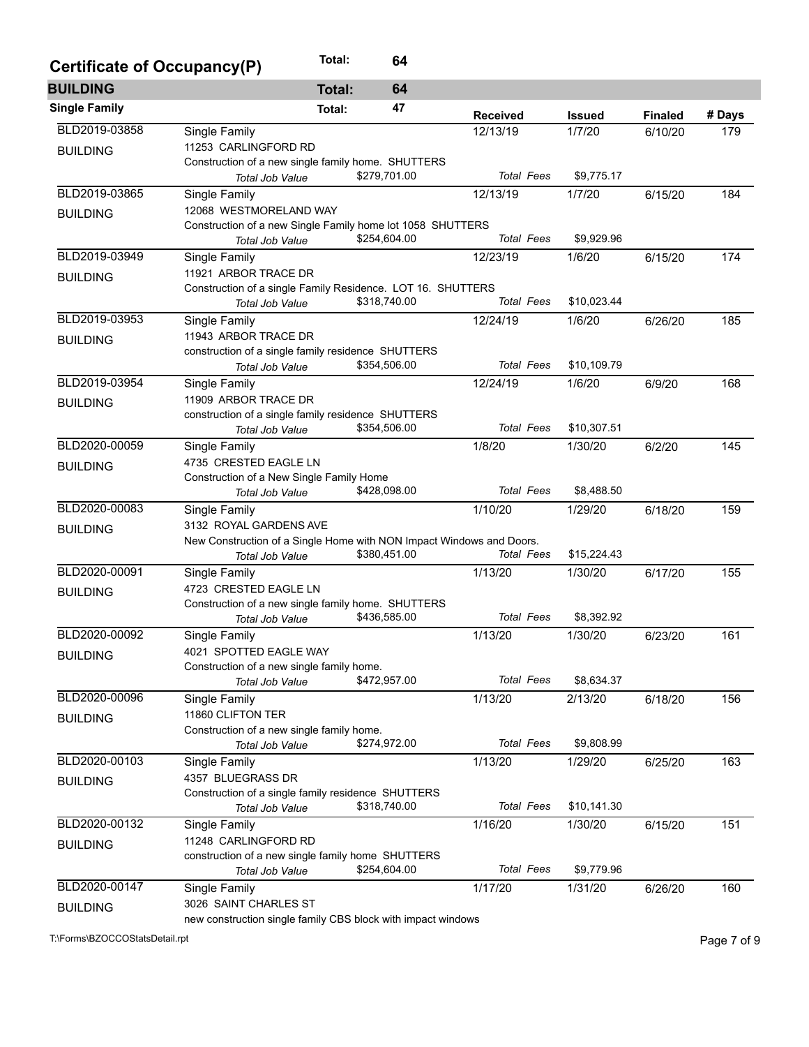| Certificate of Occupancy(P) |                                                                                | Total:        | 64           |                   |               |                |        |
|-----------------------------|--------------------------------------------------------------------------------|---------------|--------------|-------------------|---------------|----------------|--------|
| <b>BUILDING</b>             |                                                                                | <b>Total:</b> | 64           |                   |               |                |        |
| <b>Single Family</b>        |                                                                                | Total:        | 47           | <b>Received</b>   | <b>Issued</b> | <b>Finaled</b> | # Days |
| BLD2019-03858               | Single Family                                                                  |               |              | 12/13/19          | 1/7/20        | 6/10/20        | 179    |
| <b>BUILDING</b>             | 11253 CARLINGFORD RD                                                           |               |              |                   |               |                |        |
|                             | Construction of a new single family home. SHUTTERS                             |               |              |                   |               |                |        |
|                             | Total Job Value                                                                |               | \$279,701.00 | <b>Total Fees</b> | \$9,775.17    |                |        |
| BLD2019-03865               | Single Family                                                                  |               |              | 12/13/19          | 1/7/20        | 6/15/20        | 184    |
| <b>BUILDING</b>             | 12068 WESTMORELAND WAY                                                         |               |              |                   |               |                |        |
|                             | Construction of a new Single Family home lot 1058 SHUTTERS                     |               | \$254,604.00 | <b>Total Fees</b> | \$9,929.96    |                |        |
|                             | Total Job Value                                                                |               |              |                   |               |                |        |
| BLD2019-03949               | Single Family                                                                  |               |              | 12/23/19          | 1/6/20        | 6/15/20        | 174    |
| <b>BUILDING</b>             | 11921 ARBOR TRACE DR                                                           |               |              |                   |               |                |        |
|                             | Construction of a single Family Residence. LOT 16. SHUTTERS<br>Total Job Value |               | \$318,740.00 | <b>Total Fees</b> | \$10,023.44   |                |        |
| BLD2019-03953               | Single Family                                                                  |               |              | 12/24/19          | 1/6/20        | 6/26/20        | 185    |
|                             | 11943 ARBOR TRACE DR                                                           |               |              |                   |               |                |        |
| <b>BUILDING</b>             | construction of a single family residence SHUTTERS                             |               |              |                   |               |                |        |
|                             | Total Job Value                                                                |               | \$354,506.00 | <b>Total Fees</b> | \$10,109.79   |                |        |
| BLD2019-03954               | Single Family                                                                  |               |              | 12/24/19          | 1/6/20        | 6/9/20         | 168    |
| <b>BUILDING</b>             | 11909 ARBOR TRACE DR                                                           |               |              |                   |               |                |        |
|                             | construction of a single family residence SHUTTERS                             |               |              |                   |               |                |        |
|                             | Total Job Value                                                                |               | \$354,506.00 | <b>Total Fees</b> | \$10,307.51   |                |        |
| BLD2020-00059               | Single Family                                                                  |               |              | 1/8/20            | 1/30/20       | 6/2/20         | 145    |
| <b>BUILDING</b>             | 4735 CRESTED EAGLE LN                                                          |               |              |                   |               |                |        |
|                             | Construction of a New Single Family Home                                       |               |              |                   |               |                |        |
|                             | Total Job Value                                                                |               | \$428,098.00 | <b>Total Fees</b> | \$8,488.50    |                |        |
| BLD2020-00083               | Single Family                                                                  |               |              | 1/10/20           | 1/29/20       | 6/18/20        | 159    |
| <b>BUILDING</b>             | 3132 ROYAL GARDENS AVE                                                         |               |              |                   |               |                |        |
|                             | New Construction of a Single Home with NON Impact Windows and Doors.           |               |              |                   |               |                |        |
|                             | Total Job Value                                                                |               | \$380,451.00 | <b>Total Fees</b> | \$15,224.43   |                |        |
| BLD2020-00091               | Single Family                                                                  |               |              | 1/13/20           | 1/30/20       | 6/17/20        | 155    |
| <b>BUILDING</b>             | 4723 CRESTED EAGLE LN                                                          |               |              |                   |               |                |        |
|                             | Construction of a new single family home. SHUTTERS                             |               | \$436,585.00 | <b>Total Fees</b> | \$8,392.92    |                |        |
|                             | <b>Total Job Value</b>                                                         |               |              |                   |               |                |        |
| BLD2020-00092               | Single Family                                                                  |               |              | 1/13/20           | 1/30/20       | 6/23/20        | 161    |
| <b>BUILDING</b>             | 4021 SPOTTED EAGLE WAY<br>Construction of a new single family home.            |               |              |                   |               |                |        |
|                             | <b>Total Job Value</b>                                                         |               | \$472,957.00 | <b>Total Fees</b> | \$8,634.37    |                |        |
| BLD2020-00096               | Single Family                                                                  |               |              | 1/13/20           | 2/13/20       | 6/18/20        | 156    |
|                             | 11860 CLIFTON TER                                                              |               |              |                   |               |                |        |
| <b>BUILDING</b>             | Construction of a new single family home.                                      |               |              |                   |               |                |        |
|                             | Total Job Value                                                                |               | \$274,972.00 | <b>Total Fees</b> | \$9,808.99    |                |        |
| BLD2020-00103               | Single Family                                                                  |               |              | 1/13/20           | 1/29/20       | 6/25/20        | 163    |
| <b>BUILDING</b>             | 4357 BLUEGRASS DR                                                              |               |              |                   |               |                |        |
|                             | Construction of a single family residence SHUTTERS                             |               |              |                   |               |                |        |
|                             | Total Job Value                                                                |               | \$318,740.00 | <b>Total Fees</b> | \$10,141.30   |                |        |
| BLD2020-00132               | Single Family                                                                  |               |              | 1/16/20           | 1/30/20       | 6/15/20        | 151    |
| <b>BUILDING</b>             | 11248 CARLINGFORD RD                                                           |               |              |                   |               |                |        |
|                             | construction of a new single family home SHUTTERS                              |               |              |                   |               |                |        |
|                             | Total Job Value                                                                |               | \$254,604.00 | <b>Total Fees</b> | \$9,779.96    |                |        |
| BLD2020-00147               | Single Family                                                                  |               |              | 1/17/20           | 1/31/20       | 6/26/20        | 160    |
| <b>BUILDING</b>             | 3026 SAINT CHARLES ST                                                          |               |              |                   |               |                |        |
|                             | new construction single family CBS block with impact windows                   |               |              |                   |               |                |        |

T:\Forms\BZOCCOStatsDetail.rpt Page 7 of 9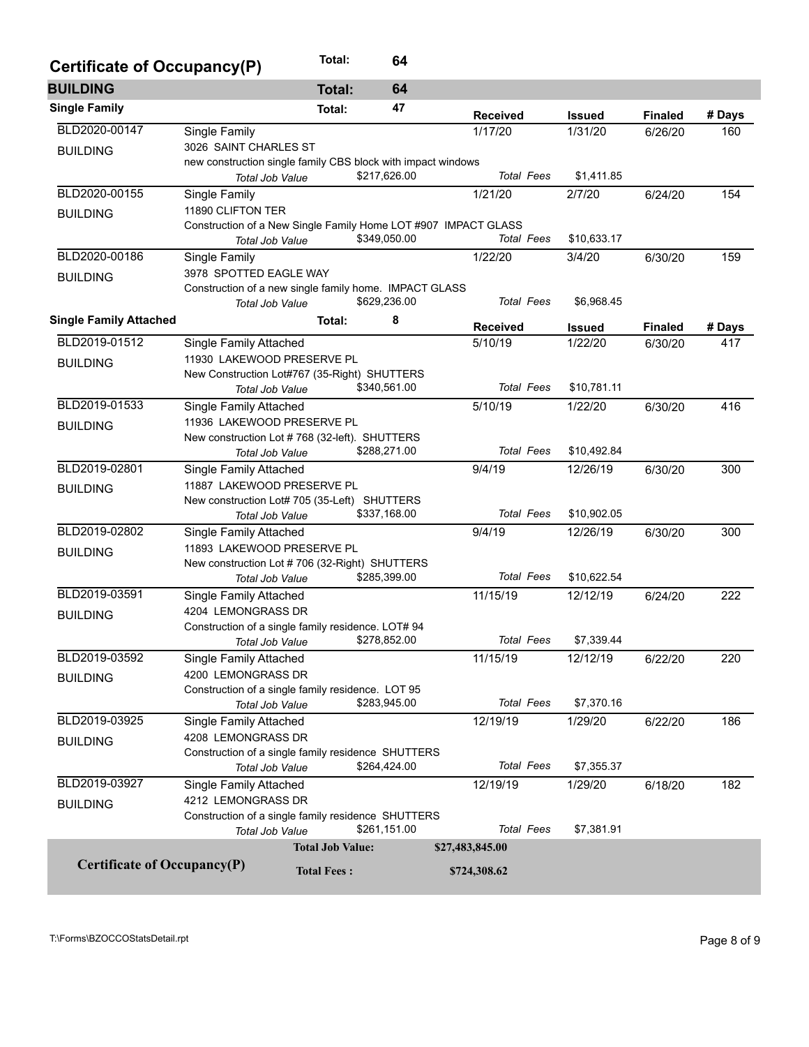| <b>Certificate of Occupancy(P)</b> |                                                                | Total:                  | 64           |                   |               |                |        |
|------------------------------------|----------------------------------------------------------------|-------------------------|--------------|-------------------|---------------|----------------|--------|
| <b>BUILDING</b>                    |                                                                | <b>Total:</b>           | 64           |                   |               |                |        |
| <b>Single Family</b>               |                                                                | Total:                  | 47           | <b>Received</b>   | <b>Issued</b> | <b>Finaled</b> | # Days |
| BLD2020-00147                      | Single Family                                                  |                         |              | 1/17/20           | 1/31/20       | 6/26/20        | 160    |
| <b>BUILDING</b>                    | 3026 SAINT CHARLES ST                                          |                         |              |                   |               |                |        |
|                                    | new construction single family CBS block with impact windows   |                         |              |                   |               |                |        |
|                                    | Total Job Value                                                |                         | \$217,626.00 | <b>Total Fees</b> | \$1,411.85    |                |        |
| BLD2020-00155                      | Single Family                                                  |                         |              | 1/21/20           | 2/7/20        | 6/24/20        | 154    |
| <b>BUILDING</b>                    | 11890 CLIFTON TER                                              |                         |              |                   |               |                |        |
|                                    | Construction of a New Single Family Home LOT #907 IMPACT GLASS |                         |              |                   |               |                |        |
|                                    | <b>Total Job Value</b>                                         |                         | \$349,050.00 | <b>Total Fees</b> | \$10,633.17   |                |        |
| BLD2020-00186                      | Single Family                                                  |                         |              | 1/22/20           | 3/4/20        | 6/30/20        | 159    |
| <b>BUILDING</b>                    | 3978 SPOTTED EAGLE WAY                                         |                         |              |                   |               |                |        |
|                                    | Construction of a new single family home. IMPACT GLASS         |                         |              |                   |               |                |        |
|                                    | Total Job Value                                                |                         | \$629,236.00 | <b>Total Fees</b> | \$6,968.45    |                |        |
| <b>Single Family Attached</b>      |                                                                | Total:                  | 8            | <b>Received</b>   | <b>Issued</b> | <b>Finaled</b> | # Days |
| BLD2019-01512                      | Single Family Attached                                         |                         |              | 5/10/19           | 1/22/20       | 6/30/20        | 417    |
| <b>BUILDING</b>                    | 11930 LAKEWOOD PRESERVE PL                                     |                         |              |                   |               |                |        |
|                                    | New Construction Lot#767 (35-Right) SHUTTERS                   |                         |              |                   |               |                |        |
|                                    | Total Job Value                                                |                         | \$340,561.00 | <b>Total Fees</b> | \$10,781.11   |                |        |
| BLD2019-01533                      | Single Family Attached                                         |                         |              | 5/10/19           | 1/22/20       | 6/30/20        | 416    |
| <b>BUILDING</b>                    | 11936 LAKEWOOD PRESERVE PL                                     |                         |              |                   |               |                |        |
|                                    | New construction Lot #768 (32-left). SHUTTERS                  |                         |              |                   |               |                |        |
|                                    | Total Job Value                                                |                         | \$288,271.00 | <b>Total Fees</b> | \$10,492.84   |                |        |
| BLD2019-02801                      | Single Family Attached                                         |                         |              | 9/4/19            | 12/26/19      | 6/30/20        | 300    |
| <b>BUILDING</b>                    | 11887 LAKEWOOD PRESERVE PL                                     |                         |              |                   |               |                |        |
|                                    | New construction Lot# 705 (35-Left) SHUTTERS                   |                         | \$337,168.00 | <b>Total Fees</b> | \$10,902.05   |                |        |
| BLD2019-02802                      | Total Job Value                                                |                         |              |                   |               |                |        |
|                                    | Single Family Attached<br>11893 LAKEWOOD PRESERVE PL           |                         |              | 9/4/19            | 12/26/19      | 6/30/20        | 300    |
| <b>BUILDING</b>                    | New construction Lot #706 (32-Right) SHUTTERS                  |                         |              |                   |               |                |        |
|                                    | Total Job Value                                                |                         | \$285,399.00 | <b>Total Fees</b> | \$10,622.54   |                |        |
| BLD2019-03591                      | Single Family Attached                                         |                         |              | 11/15/19          | 12/12/19      | 6/24/20        | 222    |
|                                    | 4204 LEMONGRASS DR                                             |                         |              |                   |               |                |        |
| <b>BUILDING</b>                    | Construction of a single family residence. LOT# 94             |                         |              |                   |               |                |        |
|                                    | Total Job Value                                                |                         | \$278,852.00 | <b>Total Fees</b> | \$7,339.44    |                |        |
| BLD2019-03592                      | Single Family Attached                                         |                         |              | 11/15/19          | 12/12/19      | 6/22/20        | 220    |
| <b>BUILDING</b>                    | 4200 LEMONGRASS DR                                             |                         |              |                   |               |                |        |
|                                    | Construction of a single family residence. LOT 95              |                         |              |                   |               |                |        |
|                                    | Total Job Value                                                |                         | \$283,945.00 | <b>Total Fees</b> | \$7,370.16    |                |        |
| BLD2019-03925                      | Single Family Attached                                         |                         |              | 12/19/19          | 1/29/20       | 6/22/20        | 186    |
| <b>BUILDING</b>                    | 4208 LEMONGRASS DR                                             |                         |              |                   |               |                |        |
|                                    | Construction of a single family residence SHUTTERS             |                         |              |                   |               |                |        |
|                                    | Total Job Value                                                |                         | \$264,424.00 | <b>Total Fees</b> | \$7,355.37    |                |        |
| BLD2019-03927                      | Single Family Attached                                         |                         |              | 12/19/19          | 1/29/20       | 6/18/20        | 182    |
| <b>BUILDING</b>                    | 4212 LEMONGRASS DR                                             |                         |              |                   |               |                |        |
|                                    | Construction of a single family residence SHUTTERS             |                         |              |                   |               |                |        |
|                                    | Total Job Value                                                |                         | \$261,151.00 | <b>Total Fees</b> | \$7,381.91    |                |        |
|                                    |                                                                | <b>Total Job Value:</b> |              | \$27,483,845.00   |               |                |        |
| <b>Certificate of Occupancy(P)</b> |                                                                | <b>Total Fees:</b>      |              | \$724,308.62      |               |                |        |